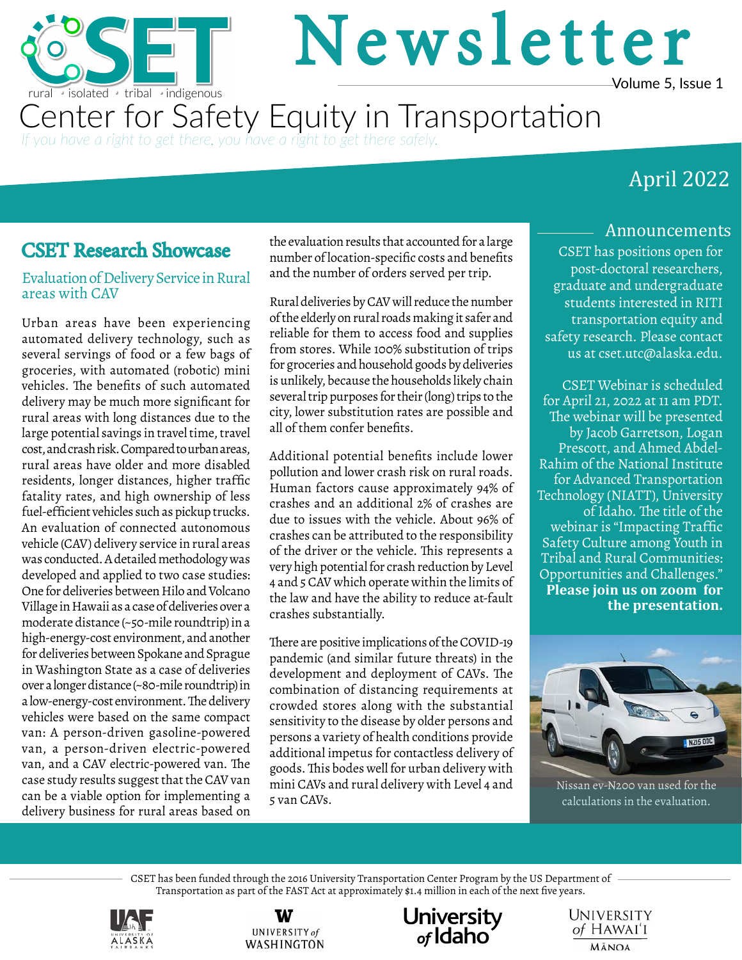

# Newsletter Volume 5, Issue 1

Center for Safety Equity **Equity** in Transportation Center for Safety Equity in Transportation *If you have a right to get there, you have a right to get there safely.*

## April 2022

### CSET Research Showcase

#### Evaluation of Delivery Service in Rural areas with CAV

Urban areas have been experiencing automated delivery technology, such as several servings of food or a few bags of groceries, with automated (robotic) mini vehicles. The benefits of such automated delivery may be much more significant for rural areas with long distances due to the large potential savings in travel time, travel cost, and crash risk. Compared to urban areas, rural areas have older and more disabled residents, longer distances, higher traffic fatality rates, and high ownership of less fuel-efficient vehicles such as pickup trucks. An evaluation of connected autonomous vehicle (CAV) delivery service in rural areas was conducted. A detailed methodology was developed and applied to two case studies: One for deliveries between Hilo and Volcano Village in Hawaii as a case of deliveries over a moderate distance (~50-mile roundtrip) in a high-energy-cost environment, and another for deliveries between Spokane and Sprague in Washington State as a case of deliveries over a longer distance (~80-mile roundtrip) in a low-energy-cost environment. The delivery vehicles were based on the same compact van: A person-driven gasoline-powered van, a person-driven electric-powered van, and a CAV electric-powered van. The case study results suggest that the CAV van can be a viable option for implementing a delivery business for rural areas based on

the evaluation results that accounted for a large number of location-specific costs and benefits and the number of orders served per trip.

Rural deliveries by CAV will reduce the number of the elderly on rural roads making it safer and reliable for them to access food and supplies from stores. While 100% substitution of trips for groceries and household goods by deliveries is unlikely, because the households likely chain several trip purposes for their (long) trips to the city, lower substitution rates are possible and all of them confer benefits.

Additional potential benefits include lower pollution and lower crash risk on rural roads. Human factors cause approximately 94% of crashes and an additional 2% of crashes are due to issues with the vehicle. About 96% of crashes can be attributed to the responsibility of the driver or the vehicle. This represents a very high potential for crash reduction by Level 4 and 5 CAV which operate within the limits of the law and have the ability to reduce at-fault crashes substantially.

There are positive implications of the COVID-19 pandemic (and similar future threats) in the development and deployment of CAVs. The combination of distancing requirements at crowded stores along with the substantial sensitivity to the disease by older persons and persons a variety of health conditions provide additional impetus for contactless delivery of goods. This bodes well for urban delivery with mini CAVs and rural delivery with Level 4 and 5 van CAVs.

#### Announcements

CSET has positions open for post-doctoral researchers, graduate and undergraduate students interested in RITI transportation equity and safety research. Please contact us at cset.utc@alaska.edu.

CSET Webinar is scheduled for April 21, 2022 at 11 am PDT. The webinar will be presented by Jacob Garretson, Logan Prescott, and Ahmed Abdel-Rahim of the National Institute for Advanced Transportation Technology (NIATT), University of Idaho. The title of the webinar is "Impacting Traffic Safety Culture among Youth in Tribal and Rural Communities: Opportunities and Challenges." **[Please join us on zoom for](https://alaska.zoom.us/j/81479250261?pwd=dkxNcDhtTTlCSURSeit5clJuTlkzQT09)  [the presentation.](https://alaska.zoom.us/j/81479250261?pwd=dkxNcDhtTTlCSURSeit5clJuTlkzQT09)** 



Nissan ev-N200 van used for the calculations in the evaluation.

CSET has been funded through the 2016 University Transportation Center Program by the US Department of Transportation as part of the FAST Act at approximately \$1.4 million in each of the next five years.







UNIVERSITY of HAWAI'I **MĀNOA**